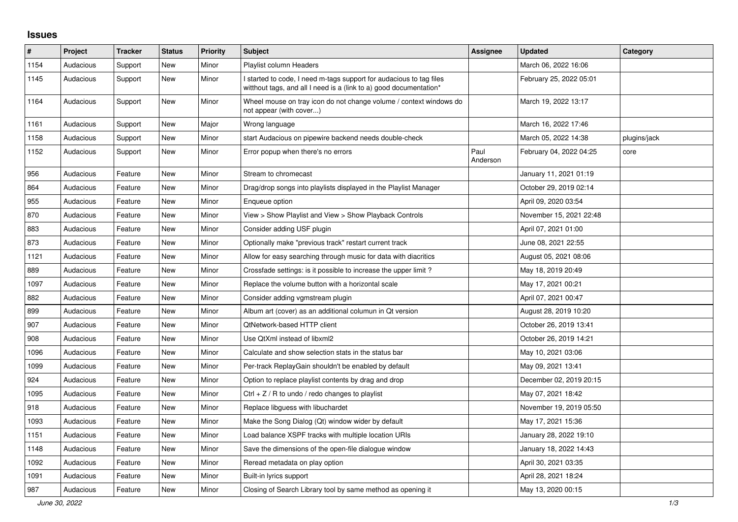## **Issues**

| #    | Project   | <b>Tracker</b> | <b>Status</b> | <b>Priority</b> | <b>Subject</b>                                                                                                                            | Assignee         | <b>Updated</b>          | Category     |
|------|-----------|----------------|---------------|-----------------|-------------------------------------------------------------------------------------------------------------------------------------------|------------------|-------------------------|--------------|
| 1154 | Audacious | Support        | <b>New</b>    | Minor           | Playlist column Headers                                                                                                                   |                  | March 06, 2022 16:06    |              |
| 1145 | Audacious | Support        | New           | Minor           | I started to code, I need m-tags support for audacious to tag files<br>witthout tags, and all I need is a (link to a) good documentation* |                  | February 25, 2022 05:01 |              |
| 1164 | Audacious | Support        | New           | Minor           | Wheel mouse on tray icon do not change volume / context windows do<br>not appear (with cover)                                             |                  | March 19, 2022 13:17    |              |
| 1161 | Audacious | Support        | New           | Major           | Wrong language                                                                                                                            |                  | March 16, 2022 17:46    |              |
| 1158 | Audacious | Support        | <b>New</b>    | Minor           | start Audacious on pipewire backend needs double-check                                                                                    |                  | March 05, 2022 14:38    | plugins/jack |
| 1152 | Audacious | Support        | New           | Minor           | Error popup when there's no errors                                                                                                        | Paul<br>Anderson | February 04, 2022 04:25 | core         |
| 956  | Audacious | Feature        | <b>New</b>    | Minor           | Stream to chromecast                                                                                                                      |                  | January 11, 2021 01:19  |              |
| 864  | Audacious | Feature        | New           | Minor           | Drag/drop songs into playlists displayed in the Playlist Manager                                                                          |                  | October 29, 2019 02:14  |              |
| 955  | Audacious | Feature        | New           | Minor           | Enqueue option                                                                                                                            |                  | April 09, 2020 03:54    |              |
| 870  | Audacious | Feature        | New           | Minor           | View > Show Playlist and View > Show Playback Controls                                                                                    |                  | November 15, 2021 22:48 |              |
| 883  | Audacious | Feature        | New           | Minor           | Consider adding USF plugin                                                                                                                |                  | April 07, 2021 01:00    |              |
| 873  | Audacious | Feature        | New           | Minor           | Optionally make "previous track" restart current track                                                                                    |                  | June 08, 2021 22:55     |              |
| 1121 | Audacious | Feature        | New           | Minor           | Allow for easy searching through music for data with diacritics                                                                           |                  | August 05, 2021 08:06   |              |
| 889  | Audacious | Feature        | New           | Minor           | Crossfade settings: is it possible to increase the upper limit?                                                                           |                  | May 18, 2019 20:49      |              |
| 1097 | Audacious | Feature        | New           | Minor           | Replace the volume button with a horizontal scale                                                                                         |                  | May 17, 2021 00:21      |              |
| 882  | Audacious | Feature        | <b>New</b>    | Minor           | Consider adding vgmstream plugin                                                                                                          |                  | April 07, 2021 00:47    |              |
| 899  | Audacious | Feature        | <b>New</b>    | Minor           | Album art (cover) as an additional columun in Qt version                                                                                  |                  | August 28, 2019 10:20   |              |
| 907  | Audacious | Feature        | New           | Minor           | QtNetwork-based HTTP client                                                                                                               |                  | October 26, 2019 13:41  |              |
| 908  | Audacious | Feature        | New           | Minor           | Use QtXml instead of libxml2                                                                                                              |                  | October 26, 2019 14:21  |              |
| 1096 | Audacious | Feature        | <b>New</b>    | Minor           | Calculate and show selection stats in the status bar                                                                                      |                  | May 10, 2021 03:06      |              |
| 1099 | Audacious | Feature        | <b>New</b>    | Minor           | Per-track ReplayGain shouldn't be enabled by default                                                                                      |                  | May 09, 2021 13:41      |              |
| 924  | Audacious | Feature        | <b>New</b>    | Minor           | Option to replace playlist contents by drag and drop                                                                                      |                  | December 02, 2019 20:15 |              |
| 1095 | Audacious | Feature        | <b>New</b>    | Minor           | Ctrl $+$ Z / R to undo / redo changes to playlist                                                                                         |                  | May 07, 2021 18:42      |              |
| 918  | Audacious | Feature        | <b>New</b>    | Minor           | Replace libguess with libuchardet                                                                                                         |                  | November 19, 2019 05:50 |              |
| 1093 | Audacious | Feature        | New           | Minor           | Make the Song Dialog (Qt) window wider by default                                                                                         |                  | May 17, 2021 15:36      |              |
| 1151 | Audacious | Feature        | New           | Minor           | Load balance XSPF tracks with multiple location URIs                                                                                      |                  | January 28, 2022 19:10  |              |
| 1148 | Audacious | Feature        | New           | Minor           | Save the dimensions of the open-file dialogue window                                                                                      |                  | January 18, 2022 14:43  |              |
| 1092 | Audacious | Feature        | New           | Minor           | Reread metadata on play option                                                                                                            |                  | April 30, 2021 03:35    |              |
| 1091 | Audacious | Feature        | <b>New</b>    | Minor           | Built-in lyrics support                                                                                                                   |                  | April 28, 2021 18:24    |              |
| 987  | Audacious | Feature        | <b>New</b>    | Minor           | Closing of Search Library tool by same method as opening it                                                                               |                  | May 13, 2020 00:15      |              |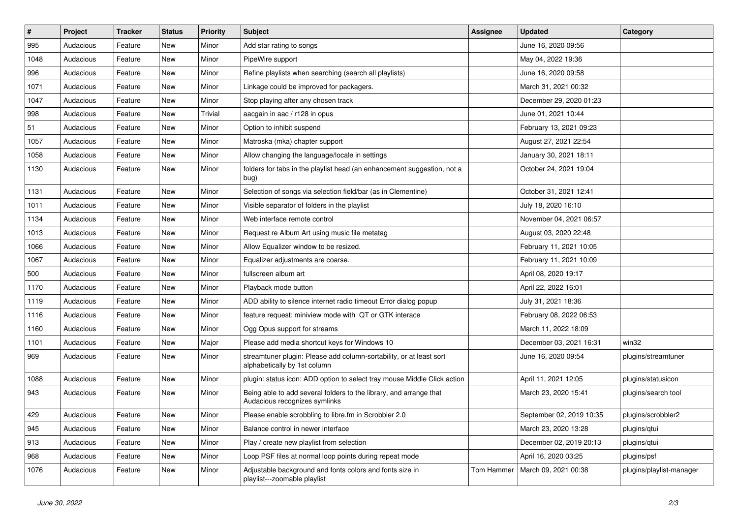| $\vert$ # | Project   | <b>Tracker</b> | <b>Status</b> | <b>Priority</b> | <b>Subject</b>                                                                                      | <b>Assignee</b> | <b>Updated</b>                    | Category                 |
|-----------|-----------|----------------|---------------|-----------------|-----------------------------------------------------------------------------------------------------|-----------------|-----------------------------------|--------------------------|
| 995       | Audacious | Feature        | New           | Minor           | Add star rating to songs                                                                            |                 | June 16, 2020 09:56               |                          |
| 1048      | Audacious | Feature        | <b>New</b>    | Minor           | PipeWire support                                                                                    |                 | May 04, 2022 19:36                |                          |
| 996       | Audacious | Feature        | New           | Minor           | Refine playlists when searching (search all playlists)                                              |                 | June 16, 2020 09:58               |                          |
| 1071      | Audacious | Feature        | New           | Minor           | Linkage could be improved for packagers.                                                            |                 | March 31, 2021 00:32              |                          |
| 1047      | Audacious | Feature        | New           | Minor           | Stop playing after any chosen track                                                                 |                 | December 29, 2020 01:23           |                          |
| 998       | Audacious | Feature        | New           | Trivial         | aacgain in aac / r128 in opus                                                                       |                 | June 01, 2021 10:44               |                          |
| 51        | Audacious | Feature        | New           | Minor           | Option to inhibit suspend                                                                           |                 | February 13, 2021 09:23           |                          |
| 1057      | Audacious | Feature        | New           | Minor           | Matroska (mka) chapter support                                                                      |                 | August 27, 2021 22:54             |                          |
| 1058      | Audacious | Feature        | New           | Minor           | Allow changing the language/locale in settings                                                      |                 | January 30, 2021 18:11            |                          |
| 1130      | Audacious | Feature        | New           | Minor           | folders for tabs in the playlist head (an enhancement suggestion, not a<br>bug)                     |                 | October 24, 2021 19:04            |                          |
| 1131      | Audacious | Feature        | New           | Minor           | Selection of songs via selection field/bar (as in Clementine)                                       |                 | October 31, 2021 12:41            |                          |
| 1011      | Audacious | Feature        | New           | Minor           | Visible separator of folders in the playlist                                                        |                 | July 18, 2020 16:10               |                          |
| 1134      | Audacious | Feature        | New           | Minor           | Web interface remote control                                                                        |                 | November 04, 2021 06:57           |                          |
| 1013      | Audacious | Feature        | New           | Minor           | Request re Album Art using music file metatag                                                       |                 | August 03, 2020 22:48             |                          |
| 1066      | Audacious | Feature        | New           | Minor           | Allow Equalizer window to be resized.                                                               |                 | February 11, 2021 10:05           |                          |
| 1067      | Audacious | Feature        | New           | Minor           | Equalizer adjustments are coarse.                                                                   |                 | February 11, 2021 10:09           |                          |
| 500       | Audacious | Feature        | New           | Minor           | fullscreen album art                                                                                |                 | April 08, 2020 19:17              |                          |
| 1170      | Audacious | Feature        | New           | Minor           | Playback mode button                                                                                |                 | April 22, 2022 16:01              |                          |
| 1119      | Audacious | Feature        | <b>New</b>    | Minor           | ADD ability to silence internet radio timeout Error dialog popup                                    |                 | July 31, 2021 18:36               |                          |
| 1116      | Audacious | Feature        | New           | Minor           | feature request: miniview mode with QT or GTK interace                                              |                 | February 08, 2022 06:53           |                          |
| 1160      | Audacious | Feature        | New           | Minor           | Ogg Opus support for streams                                                                        |                 | March 11, 2022 18:09              |                          |
| 1101      | Audacious | Feature        | New           | Major           | Please add media shortcut keys for Windows 10                                                       |                 | December 03, 2021 16:31           | win32                    |
| 969       | Audacious | Feature        | New           | Minor           | streamtuner plugin: Please add column-sortability, or at least sort<br>alphabetically by 1st column |                 | June 16, 2020 09:54               | plugins/streamtuner      |
| 1088      | Audacious | Feature        | <b>New</b>    | Minor           | plugin: status icon: ADD option to select tray mouse Middle Click action                            |                 | April 11, 2021 12:05              | plugins/statusicon       |
| 943       | Audacious | Feature        | New           | Minor           | Being able to add several folders to the library, and arrange that<br>Audacious recognizes symlinks |                 | March 23, 2020 15:41              | plugins/search tool      |
| 429       | Audacious | Feature        | New           | Minor           | Please enable scrobbling to libre.fm in Scrobbler 2.0                                               |                 | September 02, 2019 10:35          | plugins/scrobbler2       |
| 945       | Audacious | Feature        | New           | Minor           | Balance control in newer interface                                                                  |                 | March 23, 2020 13:28              | plugins/qtui             |
| 913       | Audacious | Feature        | New           | Minor           | Play / create new playlist from selection                                                           |                 | December 02, 2019 20:13           | plugins/qtui             |
| 968       | Audacious | Feature        | New           | Minor           | Loop PSF files at normal loop points during repeat mode                                             |                 | April 16, 2020 03:25              | plugins/psf              |
| 1076      | Audacious | Feature        | New           | Minor           | Adjustable background and fonts colors and fonts size in<br>playlist---zoomable playlist            |                 | Tom Hammer   March 09, 2021 00:38 | plugins/playlist-manager |